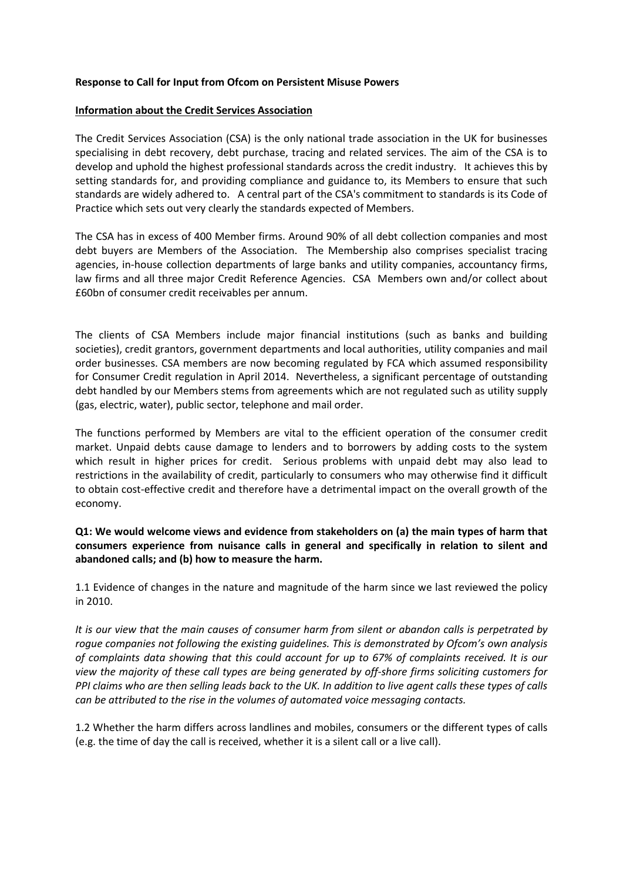# **Response to Call for Input from Ofcom on Persistent Misuse Powers**

### **Information about the Credit Services Association**

The Credit Services Association (CSA) is the only national trade association in the UK for businesses specialising in debt recovery, debt purchase, tracing and related services. The aim of the CSA is to develop and uphold the highest professional standards across the credit industry. It achieves this by setting standards for, and providing compliance and guidance to, its Members to ensure that such standards are widely adhered to. A central part of the CSA's commitment to standards is its Code of Practice which sets out very clearly the standards expected of Members.

The CSA has in excess of 400 Member firms. Around 90% of all debt collection companies and most debt buyers are Members of the Association. The Membership also comprises specialist tracing agencies, in-house collection departments of large banks and utility companies, accountancy firms, law firms and all three major Credit Reference Agencies. CSA Members own and/or collect about £60bn of consumer credit receivables per annum.

The clients of CSA Members include major financial institutions (such as banks and building societies), credit grantors, government departments and local authorities, utility companies and mail order businesses. CSA members are now becoming regulated by FCA which assumed responsibility for Consumer Credit regulation in April 2014. Nevertheless, a significant percentage of outstanding debt handled by our Members stems from agreements which are not regulated such as utility supply (gas, electric, water), public sector, telephone and mail order.

The functions performed by Members are vital to the efficient operation of the consumer credit market. Unpaid debts cause damage to lenders and to borrowers by adding costs to the system which result in higher prices for credit. Serious problems with unpaid debt may also lead to restrictions in the availability of credit, particularly to consumers who may otherwise find it difficult to obtain cost-effective credit and therefore have a detrimental impact on the overall growth of the economy.

**Q1: We would welcome views and evidence from stakeholders on (a) the main types of harm that consumers experience from nuisance calls in general and specifically in relation to silent and abandoned calls; and (b) how to measure the harm.**

1.1 Evidence of changes in the nature and magnitude of the harm since we last reviewed the policy in 2010.

*It is our view that the main causes of consumer harm from silent or abandon calls is perpetrated by rogue companies not following the existing guidelines. This is demonstrated by Ofcom's own analysis of complaints data showing that this could account for up to 67% of complaints received. It is our view the majority of these call types are being generated by off-shore firms soliciting customers for PPI claims who are then selling leads back to the UK. In addition to live agent calls these types of calls can be attributed to the rise in the volumes of automated voice messaging contacts.*

1.2 Whether the harm differs across landlines and mobiles, consumers or the different types of calls (e.g. the time of day the call is received, whether it is a silent call or a live call).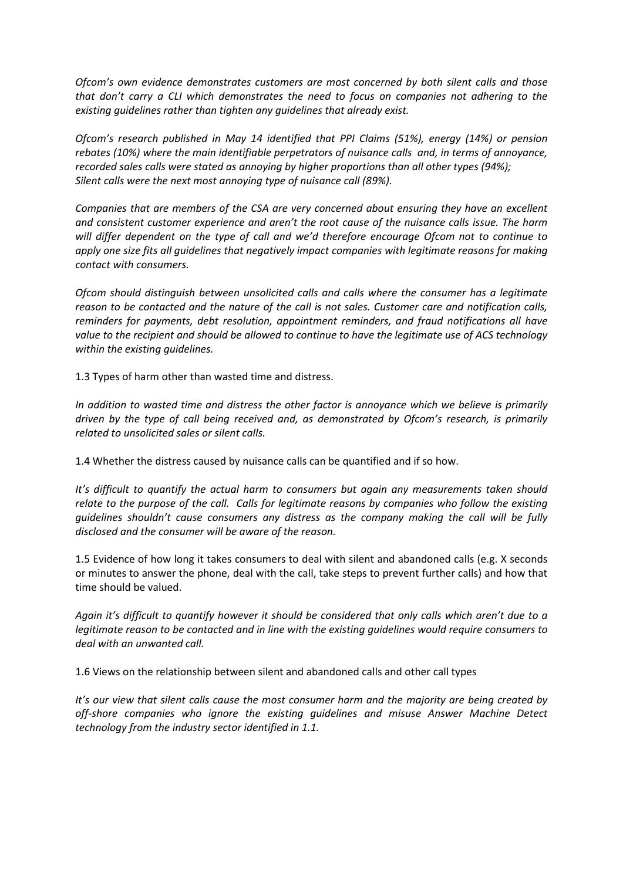*Ofcom's own evidence demonstrates customers are most concerned by both silent calls and those that don't carry a CLI which demonstrates the need to focus on companies not adhering to the existing guidelines rather than tighten any guidelines that already exist.*

*Ofcom's research published in May 14 identified that PPI Claims (51%), energy (14%) or pension rebates (10%) where the main identifiable perpetrators of nuisance calls and, in terms of annoyance, recorded sales calls were stated as annoying by higher proportions than all other types (94%); Silent calls were the next most annoying type of nuisance call (89%).*

*Companies that are members of the CSA are very concerned about ensuring they have an excellent and consistent customer experience and aren't the root cause of the nuisance calls issue. The harm will differ dependent on the type of call and we'd therefore encourage Ofcom not to continue to apply one size fits all guidelines that negatively impact companies with legitimate reasons for making contact with consumers.* 

*Ofcom should distinguish between unsolicited calls and calls where the consumer has a legitimate reason to be contacted and the nature of the call is not sales. Customer care and notification calls, reminders for payments, debt resolution, appointment reminders, and fraud notifications all have value to the recipient and should be allowed to continue to have the legitimate use of ACS technology within the existing guidelines.*

1.3 Types of harm other than wasted time and distress.

*In addition to wasted time and distress the other factor is annoyance which we believe is primarily driven by the type of call being received and, as demonstrated by Ofcom's research, is primarily related to unsolicited sales or silent calls.*

1.4 Whether the distress caused by nuisance calls can be quantified and if so how.

*It's difficult to quantify the actual harm to consumers but again any measurements taken should relate to the purpose of the call. Calls for legitimate reasons by companies who follow the existing guidelines shouldn't cause consumers any distress as the company making the call will be fully disclosed and the consumer will be aware of the reason.*

1.5 Evidence of how long it takes consumers to deal with silent and abandoned calls (e.g. X seconds or minutes to answer the phone, deal with the call, take steps to prevent further calls) and how that time should be valued.

*Again it's difficult to quantify however it should be considered that only calls which aren't due to a legitimate reason to be contacted and in line with the existing guidelines would require consumers to deal with an unwanted call.* 

1.6 Views on the relationship between silent and abandoned calls and other call types

*It's our view that silent calls cause the most consumer harm and the majority are being created by off-shore companies who ignore the existing guidelines and misuse Answer Machine Detect technology from the industry sector identified in 1.1.*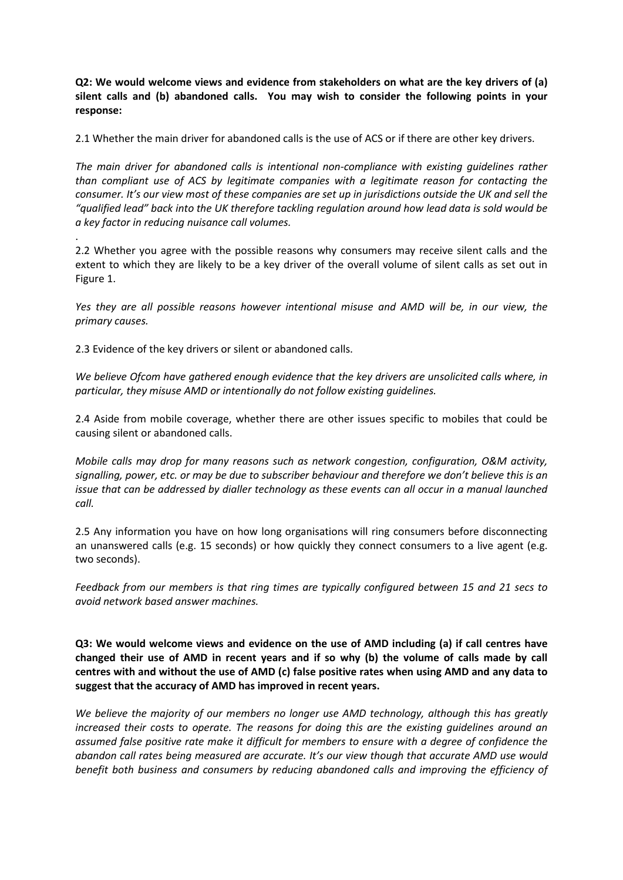**Q2: We would welcome views and evidence from stakeholders on what are the key drivers of (a) silent calls and (b) abandoned calls. You may wish to consider the following points in your response:**

2.1 Whether the main driver for abandoned calls is the use of ACS or if there are other key drivers.

*The main driver for abandoned calls is intentional non-compliance with existing guidelines rather than compliant use of ACS by legitimate companies with a legitimate reason for contacting the consumer. It's our view most of these companies are set up in jurisdictions outside the UK and sell the "qualified lead" back into the UK therefore tackling regulation around how lead data is sold would be a key factor in reducing nuisance call volumes.*

2.2 Whether you agree with the possible reasons why consumers may receive silent calls and the extent to which they are likely to be a key driver of the overall volume of silent calls as set out in Figure 1.

*Yes they are all possible reasons however intentional misuse and AMD will be, in our view, the primary causes.*

2.3 Evidence of the key drivers or silent or abandoned calls.

.

*We believe Ofcom have gathered enough evidence that the key drivers are unsolicited calls where, in particular, they misuse AMD or intentionally do not follow existing guidelines.*

2.4 Aside from mobile coverage, whether there are other issues specific to mobiles that could be causing silent or abandoned calls.

*Mobile calls may drop for many reasons such as network congestion, configuration, O&M activity, signalling, power, etc. or may be due to subscriber behaviour and therefore we don't believe this is an issue that can be addressed by dialler technology as these events can all occur in a manual launched call.*

2.5 Any information you have on how long organisations will ring consumers before disconnecting an unanswered calls (e.g. 15 seconds) or how quickly they connect consumers to a live agent (e.g. two seconds).

*Feedback from our members is that ring times are typically configured between 15 and 21 secs to avoid network based answer machines.*

**Q3: We would welcome views and evidence on the use of AMD including (a) if call centres have changed their use of AMD in recent years and if so why (b) the volume of calls made by call centres with and without the use of AMD (c) false positive rates when using AMD and any data to suggest that the accuracy of AMD has improved in recent years.**

*We believe the majority of our members no longer use AMD technology, although this has greatly increased their costs to operate. The reasons for doing this are the existing guidelines around an assumed false positive rate make it difficult for members to ensure with a degree of confidence the abandon call rates being measured are accurate. It's our view though that accurate AMD use would benefit both business and consumers by reducing abandoned calls and improving the efficiency of*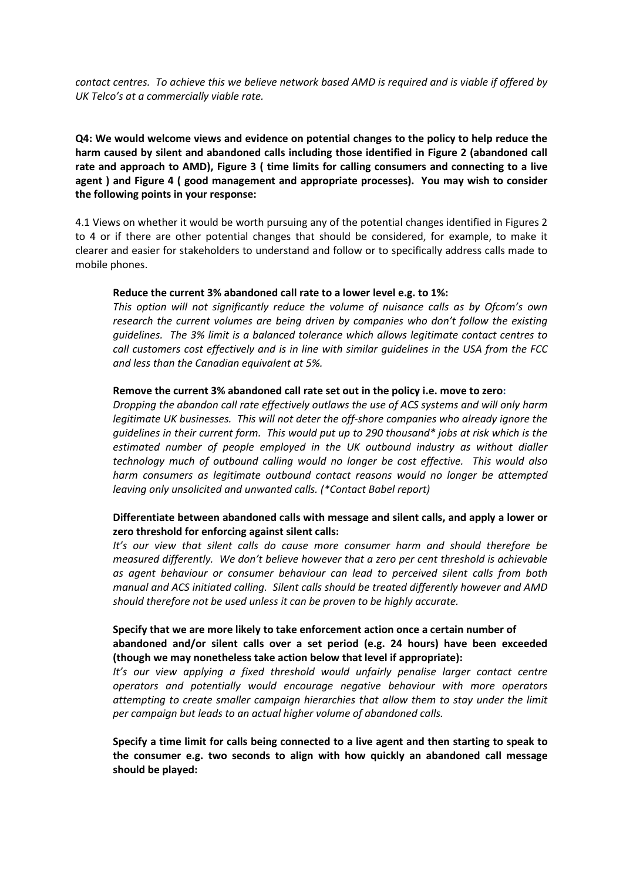*contact centres. To achieve this we believe network based AMD is required and is viable if offered by UK Telco's at a commercially viable rate.*

**Q4: We would welcome views and evidence on potential changes to the policy to help reduce the harm caused by silent and abandoned calls including those identified in Figure 2 (abandoned call rate and approach to AMD), Figure 3 ( time limits for calling consumers and connecting to a live agent ) and Figure 4 ( good management and appropriate processes). You may wish to consider the following points in your response:**

4.1 Views on whether it would be worth pursuing any of the potential changes identified in Figures 2 to 4 or if there are other potential changes that should be considered, for example, to make it clearer and easier for stakeholders to understand and follow or to specifically address calls made to mobile phones.

#### **Reduce the current 3% abandoned call rate to a lower level e.g. to 1%:**

*This option will not significantly reduce the volume of nuisance calls as by Ofcom's own research the current volumes are being driven by companies who don't follow the existing guidelines. The 3% limit is a balanced tolerance which allows legitimate contact centres to call customers cost effectively and is in line with similar guidelines in the USA from the FCC and less than the Canadian equivalent at 5%.*

#### **Remove the current 3% abandoned call rate set out in the policy i.e. move to zero:**

*Dropping the abandon call rate effectively outlaws the use of ACS systems and will only harm legitimate UK businesses. This will not deter the off-shore companies who already ignore the guidelines in their current form. This would put up to 290 thousand\* jobs at risk which is the estimated number of people employed in the UK outbound industry as without dialler technology much of outbound calling would no longer be cost effective. This would also harm consumers as legitimate outbound contact reasons would no longer be attempted leaving only unsolicited and unwanted calls. (\*Contact Babel report)*

## **Differentiate between abandoned calls with message and silent calls, and apply a lower or zero threshold for enforcing against silent calls:**

*It's our view that silent calls do cause more consumer harm and should therefore be measured differently. We don't believe however that a zero per cent threshold is achievable as agent behaviour or consumer behaviour can lead to perceived silent calls from both manual and ACS initiated calling. Silent calls should be treated differently however and AMD should therefore not be used unless it can be proven to be highly accurate.*

# **Specify that we are more likely to take enforcement action once a certain number of abandoned and/or silent calls over a set period (e.g. 24 hours) have been exceeded (though we may nonetheless take action below that level if appropriate):**

*It's our view applying a fixed threshold would unfairly penalise larger contact centre operators and potentially would encourage negative behaviour with more operators attempting to create smaller campaign hierarchies that allow them to stay under the limit per campaign but leads to an actual higher volume of abandoned calls.*

**Specify a time limit for calls being connected to a live agent and then starting to speak to the consumer e.g. two seconds to align with how quickly an abandoned call message should be played:**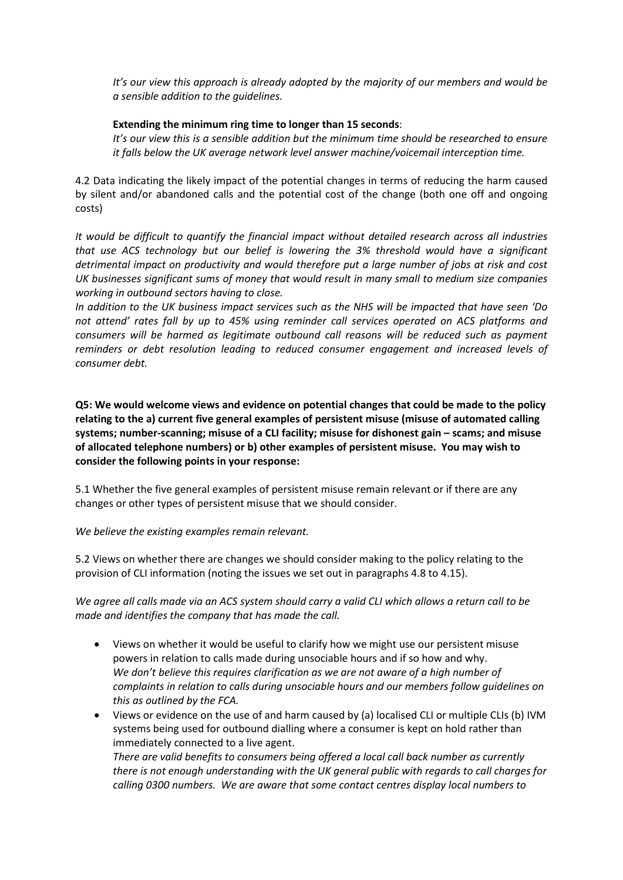*It's our view this approach is already adopted by the majority of our members and would be a sensible addition to the guidelines.*

# **Extending the minimum ring time to longer than 15 seconds**:

*It's our view this is a sensible addition but the minimum time should be researched to ensure it falls below the UK average network level answer machine/voicemail interception time.*

4.2 Data indicating the likely impact of the potential changes in terms of reducing the harm caused by silent and/or abandoned calls and the potential cost of the change (both one off and ongoing costs)

*It would be difficult to quantify the financial impact without detailed research across all industries that use ACS technology but our belief is lowering the 3% threshold would have a significant detrimental impact on productivity and would therefore put a large number of jobs at risk and cost UK businesses significant sums of money that would result in many small to medium size companies working in outbound sectors having to close.* 

*In addition to the UK business impact services such as the NHS will be impacted that have seen 'Do not attend' rates fall by up to 45% using reminder call services operated on ACS platforms and consumers will be harmed as legitimate outbound call reasons will be reduced such as payment reminders or debt resolution leading to reduced consumer engagement and increased levels of consumer debt.*

**Q5: We would welcome views and evidence on potential changes that could be made to the policy relating to the a) current five general examples of persistent misuse (misuse of automated calling systems; number-scanning; misuse of a CLI facility; misuse for dishonest gain – scams; and misuse of allocated telephone numbers) or b) other examples of persistent misuse. You may wish to consider the following points in your response:**

5.1 Whether the five general examples of persistent misuse remain relevant or if there are any changes or other types of persistent misuse that we should consider.

*We believe the existing examples remain relevant.*

5.2 Views on whether there are changes we should consider making to the policy relating to the provision of CLI information (noting the issues we set out in paragraphs 4.8 to 4.15).

*We agree all calls made via an ACS system should carry a valid CLI which allows a return call to be made and identifies the company that has made the call.*

- Views on whether it would be useful to clarify how we might use our persistent misuse powers in relation to calls made during unsociable hours and if so how and why. *We don't believe this requires clarification as we are not aware of a high number of complaints in relation to calls during unsociable hours and our members follow guidelines on this as outlined by the FCA.*
- Views or evidence on the use of and harm caused by (a) localised CLI or multiple CLIs (b) IVM systems being used for outbound dialling where a consumer is kept on hold rather than immediately connected to a live agent.

*There are valid benefits to consumers being offered a local call back number as currently there is not enough understanding with the UK general public with regards to call charges for calling 0300 numbers. We are aware that some contact centres display local numbers to*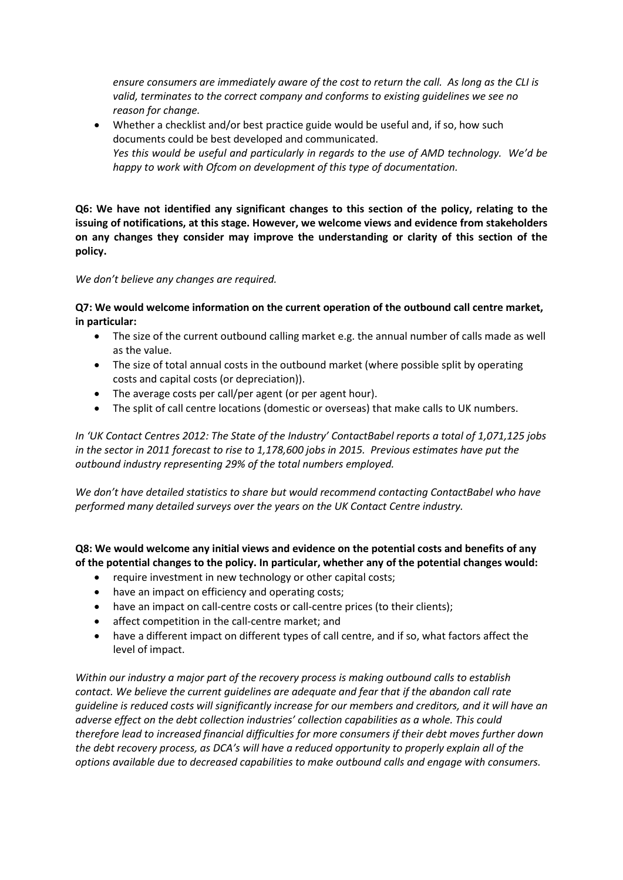*ensure consumers are immediately aware of the cost to return the call. As long as the CLI is valid, terminates to the correct company and conforms to existing guidelines we see no reason for change.*

• Whether a checklist and/or best practice guide would be useful and, if so, how such documents could be best developed and communicated. *Yes this would be useful and particularly in regards to the use of AMD technology. We'd be happy to work with Ofcom on development of this type of documentation.*

**Q6: We have not identified any significant changes to this section of the policy, relating to the issuing of notifications, at this stage. However, we welcome views and evidence from stakeholders on any changes they consider may improve the understanding or clarity of this section of the policy.**

*We don't believe any changes are required.*

**Q7: We would welcome information on the current operation of the outbound call centre market, in particular:** 

- The size of the current outbound calling market e.g. the annual number of calls made as well as the value.
- The size of total annual costs in the outbound market (where possible split by operating costs and capital costs (or depreciation)).
- The average costs per call/per agent (or per agent hour).
- The split of call centre locations (domestic or overseas) that make calls to UK numbers.

*In 'UK Contact Centres 2012: The State of the Industry' ContactBabel reports a total of 1,071,125 jobs in the sector in 2011 forecast to rise to 1,178,600 jobs in 2015. Previous estimates have put the outbound industry representing 29% of the total numbers employed.*

*We don't have detailed statistics to share but would recommend contacting ContactBabel who have performed many detailed surveys over the years on the UK Contact Centre industry.*

**Q8: We would welcome any initial views and evidence on the potential costs and benefits of any of the potential changes to the policy. In particular, whether any of the potential changes would:** 

- require investment in new technology or other capital costs;
- have an impact on efficiency and operating costs;
- have an impact on call-centre costs or call-centre prices (to their clients);
- affect competition in the call-centre market; and
- have a different impact on different types of call centre, and if so, what factors affect the level of impact.

*Within our industry a major part of the recovery process is making outbound calls to establish contact. We believe the current guidelines are adequate and fear that if the abandon call rate guideline is reduced costs will significantly increase for our members and creditors, and it will have an adverse effect on the debt collection industries' collection capabilities as a whole. This could therefore lead to increased financial difficulties for more consumers if their debt moves further down the debt recovery process, as DCA's will have a reduced opportunity to properly explain all of the options available due to decreased capabilities to make outbound calls and engage with consumers.*